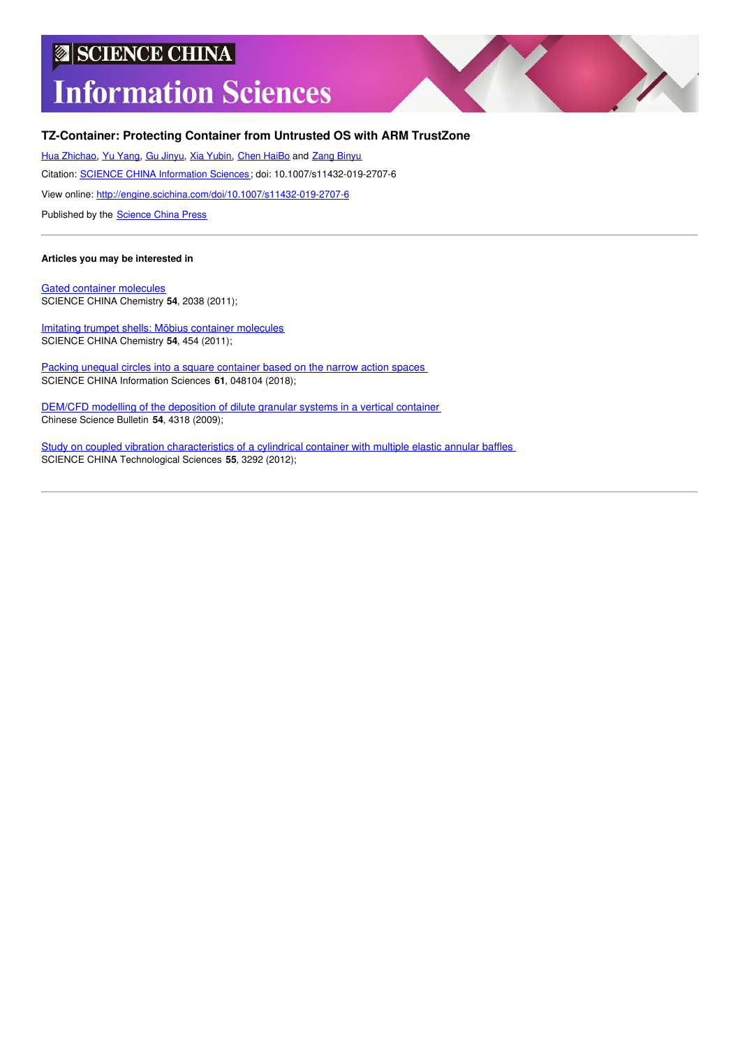# **SCIENCE CHINA Information Sciences**



## **TZ-Container: Protecting Container from Untrusted OS with ARM TrustZone**

Hua [Zhichao](http://engine.scichina.com/search/search?fullnameFilter=Hua%20Zhichao), Yu [Yang](http://engine.scichina.com/search/search?fullnameFilter=Yu%20Yang), Gu [Jinyu](http://engine.scichina.com/search/search?fullnameFilter=Gu%20Jinyu), Xia [Yubin](http://engine.scichina.com/search/search?fullnameFilter=Xia%20Yubin), Chen [HaiBo](http://engine.scichina.com/search/search?fullnameFilter=Chen%20HaiBo) and Zang [Binyu](http://engine.scichina.com/search/search?fullnameFilter=Zang%20Binyu)

Citation: SCIENCE CHINA [Information](http://engine.scichina.com/publisher/scp/journal/SCIS) Sciences; doi: 10.1007/s11432-019-2707-6

View online: <http://engine.scichina.com/doi/10.1007/s11432-019-2707-6>

Published by the [Science](http://engine.scichina.com/publisher/scp) China Press

## **Articles you may be interested in**

Gated container [molecules](http://engine.scichina.com/doi/10.1007/s11426-011-4429-1) SCIENCE CHINA Chemistry **54**, 2038 (2011);

Imitating trumpet shells: Möbius container [molecules](http://engine.scichina.com/doi/10.1007/s11426-010-4216-4) SCIENCE CHINA Chemistry **54**, 454 (2011);

Packing unequal circles into a square [container](http://engine.scichina.com/doi/10.1007/s11432-017-9223-3) based on the narrow action spaces SCIENCE CHINA Information Sciences **61**, 048104 (2018);

DEM/CFD modelling of the [deposition](http://engine.scichina.com/doi/10.1007/s11434-009-0474-y) of dilute granular systems in a vertical container Chinese Science Bulletin **54**, 4318 (2009);

Study on coupled vibration [characteristics](http://engine.scichina.com/doi/10.1007/s11431-012-5033-0) of a cylindrical container with multiple elastic annular baffles SCIENCE CHINA Technological Sciences **55**, 3292 (2012);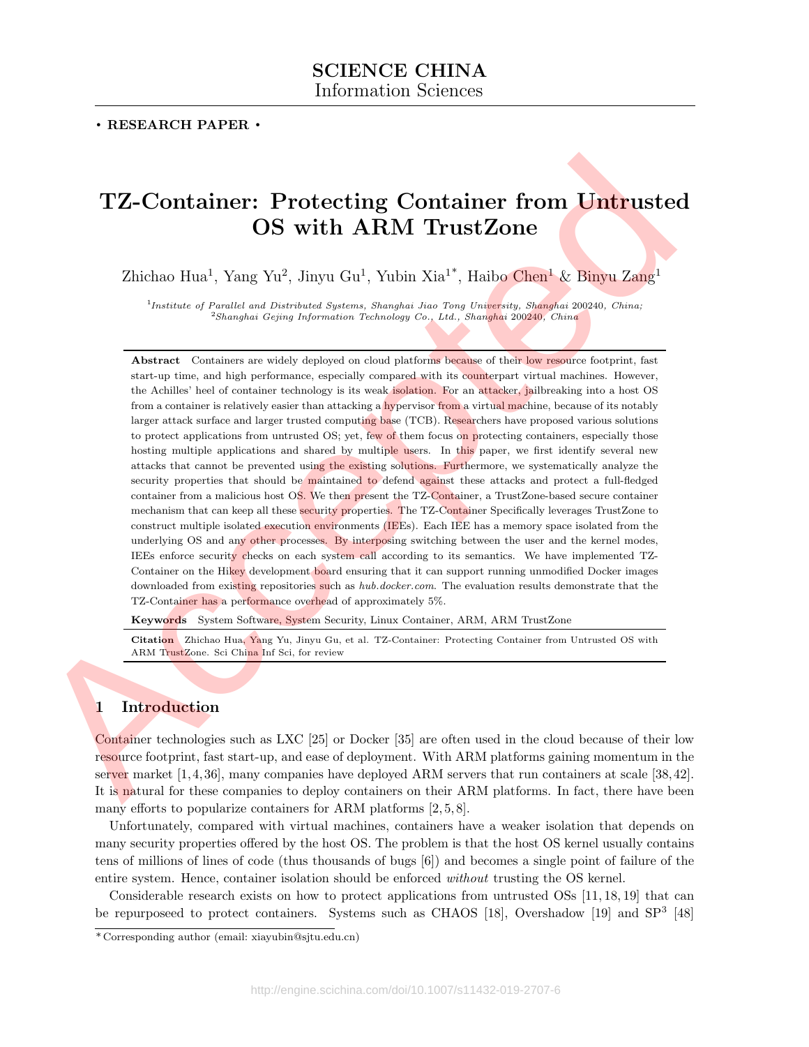## . RESEARCH PAPER .

## TZ-Container: Protecting Container from Untrusted OS with ARM TrustZone

Zhichao Hua<sup>1</sup>, Yang Yu<sup>2</sup>, Jinyu Gu<sup>1</sup>, Yubin Xia<sup>1\*</sup>, Haibo Chen<sup>1</sup> & Binyu Zang<sup>1</sup>

<sup>1</sup>Institute of Parallel and Distributed Systems, Shanghai Jiao Tong University, Shanghai 200240, China;  $^2$ Shanghai Gejing Information Technology Co., Ltd., Shanghai 200240, China

Abstract Containers are widely deployed on cloud platforms because of their low resource footprint, fast start-up time, and high performance, especially compared with its counterpart virtual machines. However, the Achilles' heel of container technology is its weak isolation. For an attacker, jailbreaking into a host OS from a container is relatively easier than attacking a hypervisor from a virtual machine, because of its notably larger attack surface and larger trusted computing base (TCB). Researchers have proposed various solutions to protect applications from untrusted OS; yet, few of them focus on protecting containers, especially those hosting multiple applications and shared by multiple users. In this paper, we first identify several new attacks that cannot be prevented using the existing solutions. Furthermore, we systematically analyze the security properties that should be maintained to defend against these attacks and protect a full-fledged container from a malicious host OS. We then present the TZ-Container, a TrustZone-based secure container mechanism that can keep all these security properties. The TZ-Container Specifically leverages TrustZone to construct multiple isolated execution environments (IEEs). Each IEE has a memory space isolated from the underlying OS and any other processes. By interposing switching between the user and the kernel modes, IEEs enforce security checks on each system call according to its semantics. We have implemented TZ-Container on the Hikey development board ensuring that it can support running unmodified Docker images downloaded from existing repositories such as hub.docker.com. The evaluation results demonstrate that the TZ-Container has a performance overhead of approximately 5%. **TZ-Container:** Protecting Container from Untrusted<br>
OS with ARM TrustZone<br>
Zhichao Han' Vany Va', dinyo Ga', Vobin Xia<sup>16</sup>, Haibo Chan<sup>3</sup> & Binya Zang<br>
Zhichao Han' Vany Va', dinyo Ga', Vobin Xia<sup>16</sup>, Haibo Chan<sup>3</sup> & Bin

Keywords System Software, System Security, Linux Container, ARM, ARM TrustZone

Citation Zhichao Hua, Yang Yu, Jinyu Gu, et al. TZ-Container: Protecting Container from Untrusted OS with ARM TrustZone. Sci China Inf Sci, for review

## 1 Introduction

Container technologies such as LXC [25] or Docker [35] are often used in the cloud because of their low resource footprint, fast start-up, and ease of deployment. With ARM platforms gaining momentum in the server market [1,4,36], many companies have deployed ARM servers that run containers at scale [38,42]. It is natural for these companies to deploy containers on their ARM platforms. In fact, there have been many efforts to popularize containers for ARM platforms [2, 5, 8].

Unfortunately, compared with virtual machines, containers have a weaker isolation that depends on many security properties offered by the host OS. The problem is that the host OS kernel usually contains tens of millions of lines of code (thus thousands of bugs [6]) and becomes a single point of failure of the entire system. Hence, container isolation should be enforced without trusting the OS kernel.

Considerable research exists on how to protect applications from untrusted OSs [11, 18, 19] that can be repurposeed to protect containers. Systems such as CHAOS [18], Overshadow [19] and SP<sup>3</sup> [48]

<sup>\*</sup> Corresponding author (email: xiayubin@sjtu.edu.cn)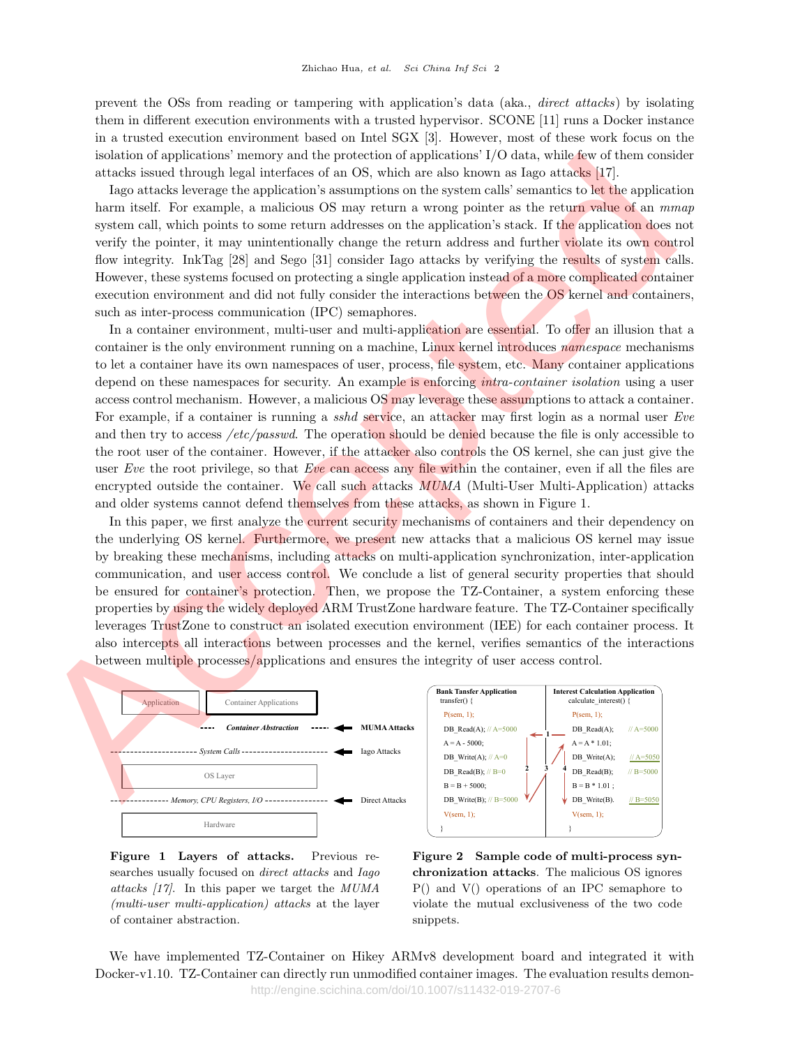prevent the OSs from reading or tampering with application's data (aka., direct attacks) by isolating them in different execution environments with a trusted hypervisor. SCONE [11] runs a Docker instance in a trusted execution environment based on Intel SGX [3]. However, most of these work focus on the isolation of applications' memory and the protection of applications' I/O data, while few of them consider attacks issued through legal interfaces of an OS, which are also known as Iago attacks [17].

Iago attacks leverage the application's assumptions on the system calls' semantics to let the application harm itself. For example, a malicious OS may return a wrong pointer as the return value of an  $mmap$ system call, which points to some return addresses on the application's stack. If the application does not verify the pointer, it may unintentionally change the return address and further violate its own control flow integrity. InkTag [28] and Sego [31] consider Iago attacks by verifying the results of system calls. However, these systems focused on protecting a single application instead of a more complicated container execution environment and did not fully consider the interactions between the OS kernel and containers, such as inter-process communication (IPC) semaphores.

In a container environment, multi-user and multi-application are essential. To offer an illusion that a container is the only environment running on a machine, Linux kernel introduces namespace mechanisms to let a container have its own namespaces of user, process, file system, etc. Many container applications depend on these namespaces for security. An example is enforcing *intra-container isolation* using a user access control mechanism. However, a malicious OS may leverage these assumptions to attack a container. For example, if a container is running a sshd service, an attacker may first login as a normal user Eve and then try to access / $etc/passwd$ . The operation should be denied because the file is only accessible to the root user of the container. However, if the attacker also controls the OS kernel, she can just give the user Eve the root privilege, so that Eve can access any file within the container, even if all the files are encrypted outside the container. We call such attacks  $MUMA$  (Multi-User Multi-Application) attacks and older systems cannot defend themselves from these attacks, as shown in Figure 1. solution of applications means and the protection of applications (VD state, which are the search as the search and the search and the search and the search and the search and the search and the search and the search and

In this paper, we first analyze the current security mechanisms of containers and their dependency on the underlying OS kernel. Furthermore, we present new attacks that a malicious OS kernel may issue by breaking these mechanisms, including attacks on multi-application synchronization, inter-application communication, and user access control. We conclude a list of general security properties that should be ensured for container's protection. Then, we propose the TZ-Container, a system enforcing these properties by using the widely deployed ARM TrustZone hardware feature. The TZ-Container specifically leverages TrustZone to construct an isolated execution environment (IEE) for each container process. It also intercepts all interactions between processes and the kernel, verifies semantics of the interactions between multiple processes/applications and ensures the integrity of user access control.



Figure 1 Layers of attacks. Previous researches usually focused on *direct attacks* and *Iago* attacks [17]. In this paper we target the MUMA (multi-user multi-application) attacks at the layer of container abstraction.

Figure 2 Sample code of multi-process synchronization attacks. The malicious OS ignores P() and V() operations of an IPC semaphore to violate the mutual exclusiveness of the two code snippets.

We have implemented TZ-Container on Hikey ARMv8 development board and integrated it with Docker-v1.10. TZ-Container can directly run unmodified container images. The evaluation results demonhttp://engine.scichina.com/doi/10.1007/s11432-019-2707-6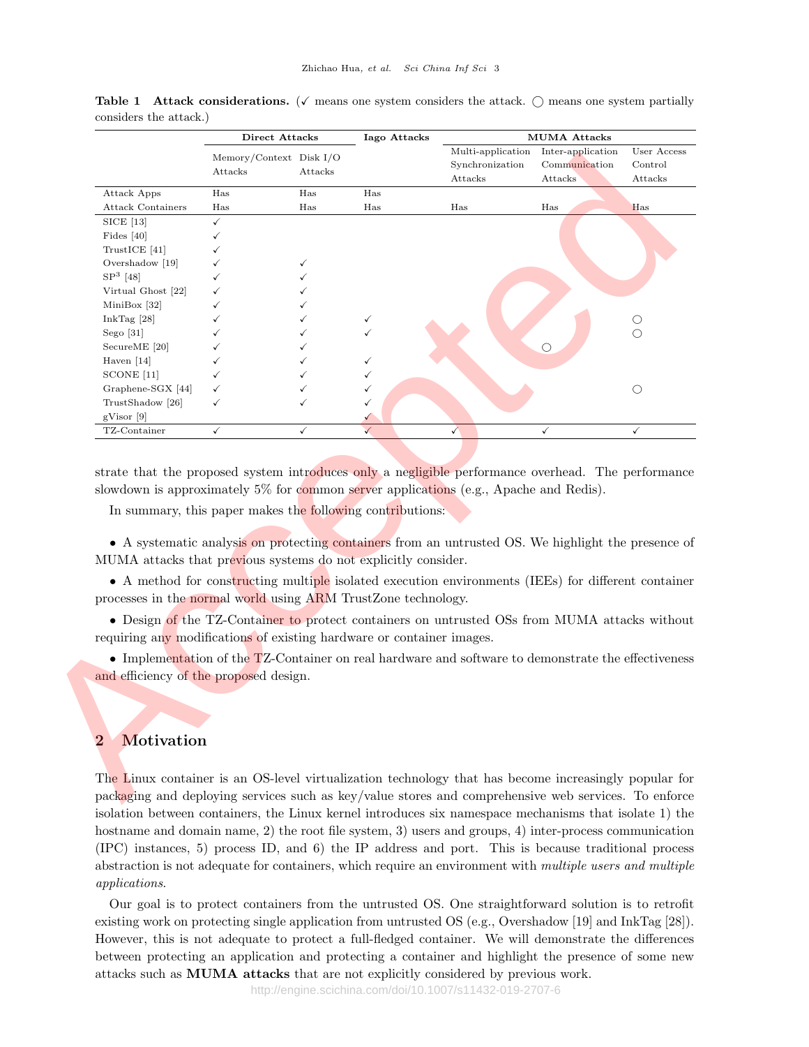|                                                                                                                         | Memory/Context Disk I/O<br>Attacks                        | Attacks      | Iago Attacks | Multi-application<br>Synchronization<br>Attacks                                                     | <b>MUMA Attacks</b><br>Inter-application<br>Communication<br>Attacks | User Access<br>Control<br>Attacks |
|-------------------------------------------------------------------------------------------------------------------------|-----------------------------------------------------------|--------------|--------------|-----------------------------------------------------------------------------------------------------|----------------------------------------------------------------------|-----------------------------------|
| Attack Apps                                                                                                             | Has                                                       | Has          | Has          |                                                                                                     |                                                                      |                                   |
| <b>Attack Containers</b>                                                                                                | Has                                                       | Has          | Has          | Has                                                                                                 | Has                                                                  | Has                               |
| SICE [13]                                                                                                               | $\checkmark$                                              |              |              |                                                                                                     |                                                                      |                                   |
| Fides $[40]$                                                                                                            | ✓                                                         |              |              |                                                                                                     |                                                                      |                                   |
| TrustICE [41]                                                                                                           | ✓                                                         |              |              |                                                                                                     |                                                                      |                                   |
| Overshadow [19]                                                                                                         |                                                           | $\checkmark$ |              |                                                                                                     |                                                                      |                                   |
| $SP3$ [48]                                                                                                              |                                                           | ✓            |              |                                                                                                     |                                                                      |                                   |
| Virtual Ghost [22]                                                                                                      |                                                           |              |              |                                                                                                     |                                                                      |                                   |
| MiniBox $[32]$                                                                                                          |                                                           |              |              |                                                                                                     |                                                                      |                                   |
| InkTag $[28]$                                                                                                           |                                                           |              | $\checkmark$ |                                                                                                     |                                                                      | $\bigcirc$                        |
| Sego $[31]$                                                                                                             |                                                           |              |              |                                                                                                     |                                                                      | $\bigcirc$                        |
| SecureME [20]                                                                                                           |                                                           |              |              |                                                                                                     | $\circ$                                                              |                                   |
| Haven $[14]$                                                                                                            |                                                           |              |              |                                                                                                     |                                                                      |                                   |
| SCONE <sup>[11]</sup>                                                                                                   |                                                           |              |              |                                                                                                     |                                                                      |                                   |
| Graphene-SGX [44]                                                                                                       | ✓                                                         |              | ✓            |                                                                                                     |                                                                      | $\bigcirc$                        |
| TrustShadow [26]                                                                                                        | ✓                                                         | $\checkmark$ | $\checkmark$ |                                                                                                     |                                                                      |                                   |
| gVisor [9]                                                                                                              |                                                           |              | ✓            |                                                                                                     |                                                                      |                                   |
| TZ-Container                                                                                                            | $\checkmark$                                              | $\checkmark$ | $\checkmark$ | $\checkmark$                                                                                        | $\checkmark$                                                         | $\checkmark$                      |
| slowdown is approximately 5% for common server applications (e.g., Apache and Redis).                                   | In summary, this paper makes the following contributions: |              |              |                                                                                                     |                                                                      |                                   |
| MUMA attacks that previous systems do not explicitly consider.                                                          |                                                           |              |              | • A systematic analysis on protecting containers from an untrusted OS. We highlight the presence of |                                                                      |                                   |
|                                                                                                                         |                                                           |              |              | • A method for constructing multiple isolated execution environments (IEEs) for different container |                                                                      |                                   |
| processes in the normal world using ARM TrustZone technology.                                                           |                                                           |              |              |                                                                                                     |                                                                      |                                   |
|                                                                                                                         |                                                           |              |              |                                                                                                     |                                                                      |                                   |
|                                                                                                                         |                                                           |              |              | • Design of the TZ-Container to protect containers on untrusted OSs from MUMA attacks without       |                                                                      |                                   |
| requiring any modifications of existing hardware or container images.                                                   |                                                           |              |              |                                                                                                     |                                                                      |                                   |
|                                                                                                                         |                                                           |              |              | • Implementation of the TZ-Container on real hardware and software to demonstrate the effectiveness |                                                                      |                                   |
|                                                                                                                         |                                                           |              |              |                                                                                                     |                                                                      |                                   |
| and efficiency of the proposed design.                                                                                  |                                                           |              |              |                                                                                                     |                                                                      |                                   |
|                                                                                                                         |                                                           |              |              |                                                                                                     |                                                                      |                                   |
|                                                                                                                         |                                                           |              |              |                                                                                                     |                                                                      |                                   |
|                                                                                                                         |                                                           |              |              |                                                                                                     |                                                                      |                                   |
|                                                                                                                         |                                                           |              |              |                                                                                                     |                                                                      |                                   |
|                                                                                                                         |                                                           |              |              |                                                                                                     |                                                                      |                                   |
| Motivation                                                                                                              |                                                           |              |              |                                                                                                     |                                                                      |                                   |
|                                                                                                                         |                                                           |              |              |                                                                                                     |                                                                      |                                   |
| $\overline{2}$<br>The Linux container is an OS-level virtualization technology that has become increasingly popular for |                                                           |              |              |                                                                                                     |                                                                      |                                   |

Table 1 Attack considerations. ( $\checkmark$  means one system considers the attack.  $\bigcirc$  means one system partially considers the attack.)

## 2 Motivation

The Linux container is an OS-level virtualization technology that has become increasingly popular for packaging and deploying services such as key/value stores and comprehensive web services. To enforce isolation between containers, the Linux kernel introduces six namespace mechanisms that isolate 1) the hostname and domain name, 2) the root file system, 3) users and groups, 4) inter-process communication (IPC) instances, 5) process ID, and 6) the IP address and port. This is because traditional process abstraction is not adequate for containers, which require an environment with multiple users and multiple applications.

Our goal is to protect containers from the untrusted OS. One straightforward solution is to retrofit existing work on protecting single application from untrusted OS (e.g., Overshadow [19] and InkTag [28]). However, this is not adequate to protect a full-fledged container. We will demonstrate the differences between protecting an application and protecting a container and highlight the presence of some new attacks such as MUMA attacks that are not explicitly considered by previous work.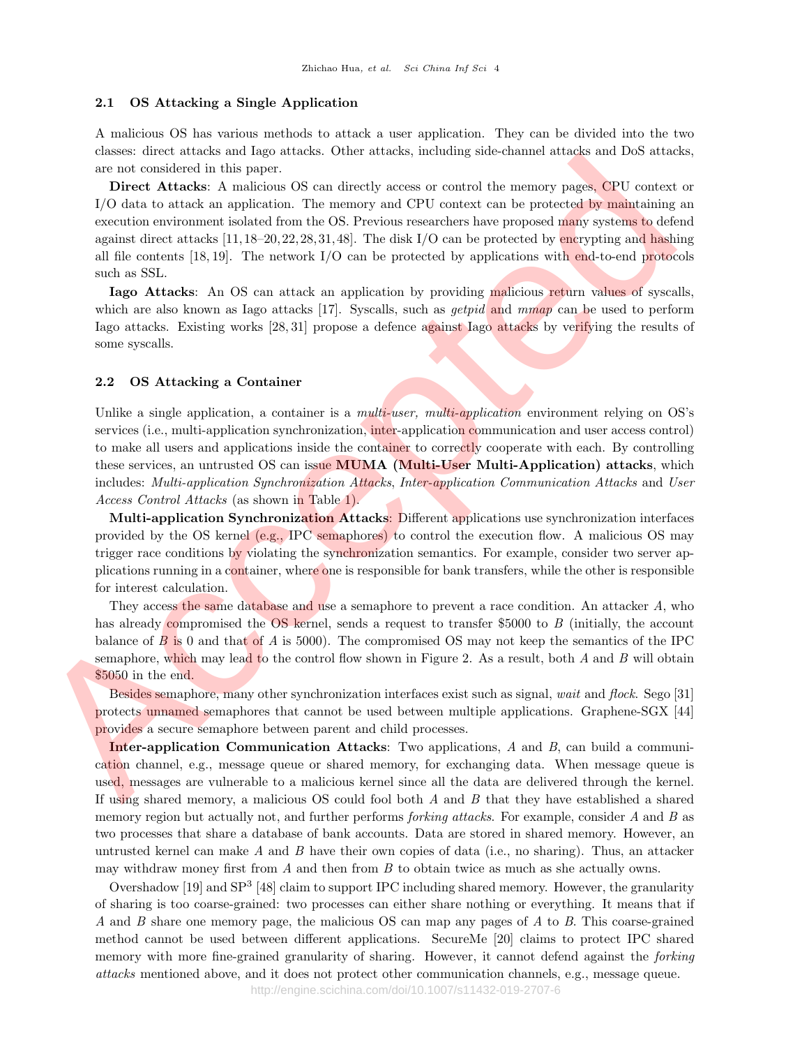## 2.1 OS Attacking a Single Application

A malicious OS has various methods to attack a user application. They can be divided into the two classes: direct attacks and Iago attacks. Other attacks, including side-channel attacks and DoS attacks, are not considered in this paper.

Direct Attacks: A malicious OS can directly access or control the memory pages, CPU context or I/O data to attack an application. The memory and CPU context can be protected by maintaining an execution environment isolated from the OS. Previous researchers have proposed many systems to defend against direct attacks [11,18–20,22,28,31,48]. The disk I/O can be protected by encrypting and hashing all file contents  $[18, 19]$ . The network  $I/O$  can be protected by applications with end-to-end protocols such as SSL. mass constants also show may also a constant and some mass constant and constant and constant and the memory power different and constant and the memory power different and the standard constant and constant and constant

Iago Attacks: An OS can attack an application by providing malicious return values of syscalls, which are also known as Iago attacks [17]. Syscalls, such as *getpid* and  $mmap$  can be used to perform Iago attacks. Existing works [28, 31] propose a defence against Iago attacks by verifying the results of some syscalls.

## 2.2 OS Attacking a Container

Unlike a single application, a container is a *multi-user, multi-application* environment relying on OS's services (i.e., multi-application synchronization, inter-application communication and user access control) to make all users and applications inside the container to correctly cooperate with each. By controlling these services, an untrusted OS can issue MUMA (Multi-User Multi-Application) attacks, which includes: Multi-application Synchronization Attacks, Inter-application Communication Attacks and User Access Control Attacks (as shown in Table 1).

Multi-application Synchronization Attacks: Different applications use synchronization interfaces provided by the OS kernel (e.g., IPC semaphores) to control the execution flow. A malicious OS may trigger race conditions by violating the synchronization semantics. For example, consider two server applications running in a container, where one is responsible for bank transfers, while the other is responsible for interest calculation.

They access the same database and use a semaphore to prevent a race condition. An attacker A, who has already compromised the OS kernel, sends a request to transfer \$5000 to B (initially, the account balance of  $\overline{B}$  is 0 and that of A is 5000). The compromised OS may not keep the semantics of the IPC semaphore, which may lead to the control flow shown in Figure 2. As a result, both  $A$  and  $B$  will obtain \$5050 in the end.

Besides semaphore, many other synchronization interfaces exist such as signal, wait and flock. Sego [31] protects unnamed semaphores that cannot be used between multiple applications. Graphene-SGX [44] provides a secure semaphore between parent and child processes.

Inter-application Communication Attacks: Two applications, A and B, can build a communication channel, e.g., message queue or shared memory, for exchanging data. When message queue is used, messages are vulnerable to a malicious kernel since all the data are delivered through the kernel. If using shared memory, a malicious OS could fool both A and B that they have established a shared memory region but actually not, and further performs *forking attacks*. For example, consider A and B as two processes that share a database of bank accounts. Data are stored in shared memory. However, an untrusted kernel can make  $A$  and  $B$  have their own copies of data (i.e., no sharing). Thus, an attacker may withdraw money first from  $A$  and then from  $B$  to obtain twice as much as she actually owns.

Overshadow [19] and SP<sup>3</sup> [48] claim to support IPC including shared memory. However, the granularity of sharing is too coarse-grained: two processes can either share nothing or everything. It means that if A and B share one memory page, the malicious OS can map any pages of A to B. This coarse-grained method cannot be used between different applications. SecureMe [20] claims to protect IPC shared memory with more fine-grained granularity of sharing. However, it cannot defend against the *forking* attacks mentioned above, and it does not protect other communication channels, e.g., message queue.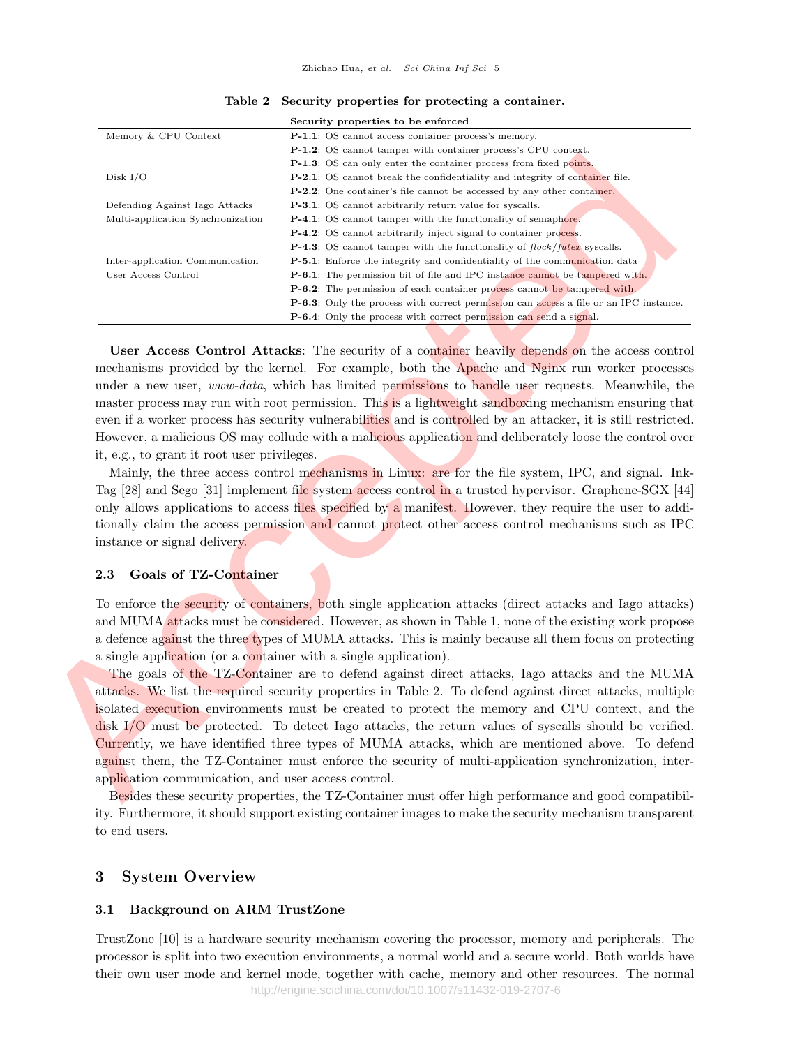|                                                                  | Security properties to be enforced                                                                                                                     |
|------------------------------------------------------------------|--------------------------------------------------------------------------------------------------------------------------------------------------------|
| Memory & CPU Context                                             | P-1.1: OS cannot access container process's memory.                                                                                                    |
|                                                                  | <b>P-1.2</b> : OS cannot tamper with container process's CPU context.                                                                                  |
|                                                                  | <b>P-1.3</b> : OS can only enter the container process from fixed points.                                                                              |
| Disk $I/O$                                                       | <b>P-2.1</b> : OS cannot break the confidentiality and integrity of container file.                                                                    |
|                                                                  | <b>P-2.2</b> : One container's file cannot be accessed by any other container.                                                                         |
| Defending Against Iago Attacks                                   | <b>P-3.1</b> : OS cannot arbitrarily return value for syscalls.                                                                                        |
| Multi-application Synchronization                                | <b>P-4.1</b> : OS cannot tamper with the functionality of semaphore.                                                                                   |
|                                                                  | P-4.2: OS cannot arbitrarily inject signal to container process.<br><b>P-4.3</b> : OS cannot tamper with the functionality of $flock/futter$ syscalls. |
| Inter-application Communication                                  | <b>P-5.1</b> : Enforce the integrity and confidentiality of the communication data                                                                     |
| User Access Control                                              | <b>P-6.1</b> : The permission bit of file and IPC instance cannot be tampered with.                                                                    |
|                                                                  | <b>P-6.2</b> : The permission of each container process cannot be tampered with.                                                                       |
|                                                                  | <b>P-6.3</b> : Only the process with correct permission can access a file or an IPC instance.                                                          |
|                                                                  | <b>P-6.4:</b> Only the process with correct permission can send a signal.                                                                              |
|                                                                  |                                                                                                                                                        |
|                                                                  | <b>User Access Control Attacks:</b> The security of a container heavily depends on the access control                                                  |
|                                                                  | mechanisms provided by the kernel. For example, both the Apache and Nginx run worker processes                                                         |
|                                                                  | under a new user, <i>www-data</i> , which has limited permissions to handle user requests. Meanwhile, the                                              |
|                                                                  |                                                                                                                                                        |
|                                                                  | master process may run with root permission. This is a lightweight sandboxing mechanism ensuring that                                                  |
|                                                                  | even if a worker process has security vulnerabilities and is controlled by an attacker, it is still restricted.                                        |
|                                                                  | However, a malicious OS may collude with a malicious application and deliberately loose the control over                                               |
| it, e.g., to grant it root user privileges.                      |                                                                                                                                                        |
|                                                                  | Mainly, the three access control mechanisms in Linux: are for the file system, IPC, and signal. Ink-                                                   |
|                                                                  | Tag [28] and Sego [31] implement file system access control in a trusted hypervisor. Graphene-SGX [44]                                                 |
|                                                                  | only allows applications to access files specified by a manifest. However, they require the user to addi-                                              |
|                                                                  | tionally claim the access permission and cannot protect other access control mechanisms such as IPC                                                    |
|                                                                  |                                                                                                                                                        |
| instance or signal delivery.                                     |                                                                                                                                                        |
|                                                                  |                                                                                                                                                        |
| Goals of TZ-Container<br>$\bf 2.3$                               |                                                                                                                                                        |
|                                                                  | To enforce the security of containers, both single application attacks (direct attacks and Iago attacks)                                               |
|                                                                  |                                                                                                                                                        |
|                                                                  | and MUMA attacks must be considered. However, as shown in Table 1, none of the existing work propose                                                   |
|                                                                  | a defence against the three types of MUMA attacks. This is mainly because all them focus on protecting                                                 |
| a single application (or a container with a single application). |                                                                                                                                                        |
|                                                                  | The goals of the TZ-Container are to defend against direct attacks, Iago attacks and the MUMA                                                          |
|                                                                  | attacks. We list the required security properties in Table 2. To defend against direct attacks, multiple                                               |
|                                                                  | isolated execution environments must be created to protect the memory and CPU context, and the                                                         |
|                                                                  | $\frac{d}{dx}I/O$ must be protected. To detect Iago attacks, the return values of syscalls should be verified.                                         |
|                                                                  |                                                                                                                                                        |
|                                                                  | Currently, we have identified three types of MUMA attacks, which are mentioned above. To defend                                                        |
|                                                                  | against them, the TZ-Container must enforce the security of multi-application synchronization, inter-                                                  |
| application communication, and user access control.              |                                                                                                                                                        |
|                                                                  | Besides these security properties, the TZ-Container must offer high performance and good compatibil-                                                   |

Table 2 Security properties for protecting a container.

## 2.3 Goals of TZ-Container

Besides these security properties, the TZ-Container must offer high performance and good compatibility. Furthermore, it should support existing container images to make the security mechanism transparent to end users.

## 3 System Overview

## 3.1 Background on ARM TrustZone

TrustZone [10] is a hardware security mechanism covering the processor, memory and peripherals. The processor is split into two execution environments, a normal world and a secure world. Both worlds have their own user mode and kernel mode, together with cache, memory and other resources. The normal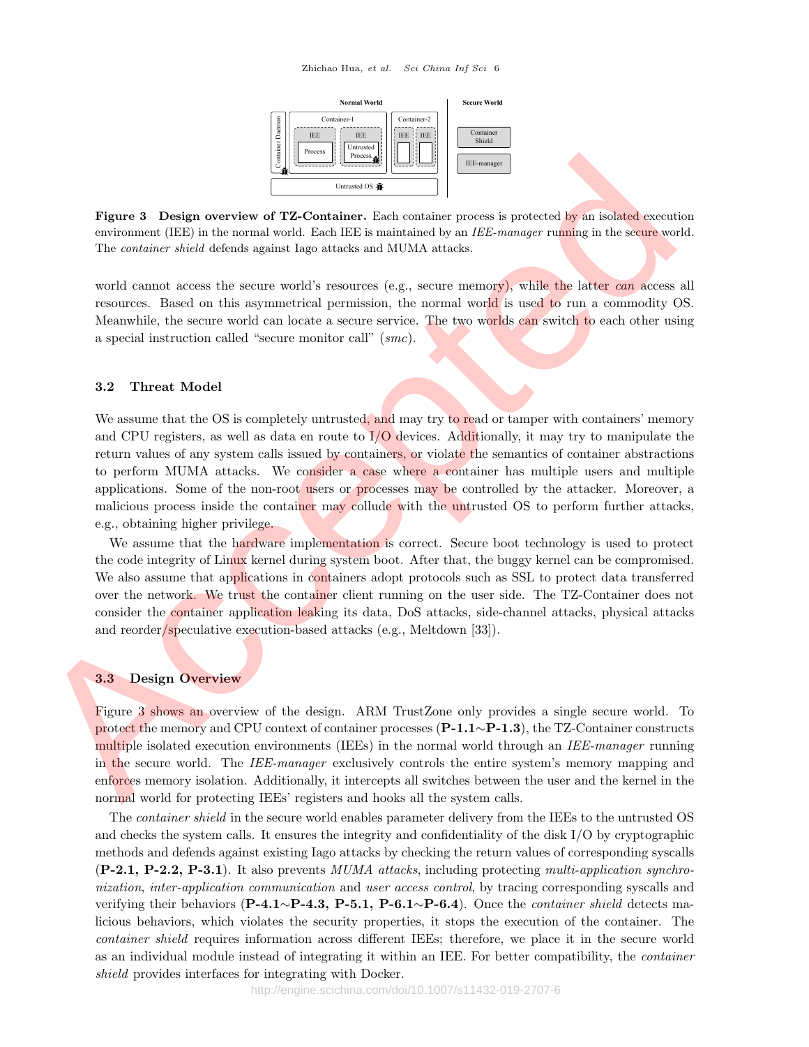

Figure 3 Design overview of TZ-Container. Each container process is protected by an isolated execution environment (IEE) in the normal world. Each IEE is maintained by an *IEE-manager* running in the secure world. The container shield defends against Iago attacks and MUMA attacks.

world cannot access the secure world's resources (e.g., secure memory), while the latter can access all resources. Based on this asymmetrical permission, the normal world is used to run a commodity OS. Meanwhile, the secure world can locate a secure service. The two worlds can switch to each other using a special instruction called "secure monitor call" (smc).

## 3.2 Threat Model

We assume that the OS is completely untrusted, and may try to read or tamper with containers' memory and CPU registers, as well as data en route to  $I/O$  devices. Additionally, it may try to manipulate the return values of any system calls issued by containers, or violate the semantics of container abstractions to perform MUMA attacks. We consider a case where a container has multiple users and multiple applications. Some of the non-root users or processes may be controlled by the attacker. Moreover, a malicious process inside the container may collude with the untrusted OS to perform further attacks, e.g., obtaining higher privilege. **Equire 3** Design overview of TZ-Container. Each consiste process is protocol with an absorption in the commutation in the container state of the container state of the container state of the container state of the contai

We assume that the hardware implementation is correct. Secure boot technology is used to protect the code integrity of Linux kernel during system boot. After that, the buggy kernel can be compromised. We also assume that applications in containers adopt protocols such as SSL to protect data transferred over the network. We trust the container client running on the user side. The TZ-Container does not consider the container application leaking its data, DoS attacks, side-channel attacks, physical attacks and reorder/speculative execution-based attacks (e.g., Meltdown [33]).

#### 3.3 Design Overview

Figure 3 shows an overview of the design. ARM TrustZone only provides a single secure world. To protect the memory and CPU context of container processes (P-1.1∼P-1.3), the TZ-Container constructs multiple isolated execution environments (IEEs) in the normal world through an IEE-manager running in the secure world. The *IEE-manager* exclusively controls the entire system's memory mapping and enforces memory isolation. Additionally, it intercepts all switches between the user and the kernel in the normal world for protecting IEEs' registers and hooks all the system calls.

The container shield in the secure world enables parameter delivery from the IEEs to the untrusted OS and checks the system calls. It ensures the integrity and confidentiality of the disk I/O by cryptographic methods and defends against existing Iago attacks by checking the return values of corresponding syscalls  $(P-2.1, P-2.2, P-3.1)$ . It also prevents MUMA attacks, including protecting multi-application synchronization, inter-application communication and user access control, by tracing corresponding syscalls and verifying their behaviors (P-4.1∼P-4.3, P-5.1, P-6.1∼P-6.4). Once the *container shield* detects malicious behaviors, which violates the security properties, it stops the execution of the container. The container shield requires information across different IEEs; therefore, we place it in the secure world as an individual module instead of integrating it within an IEE. For better compatibility, the container shield provides interfaces for integrating with Docker.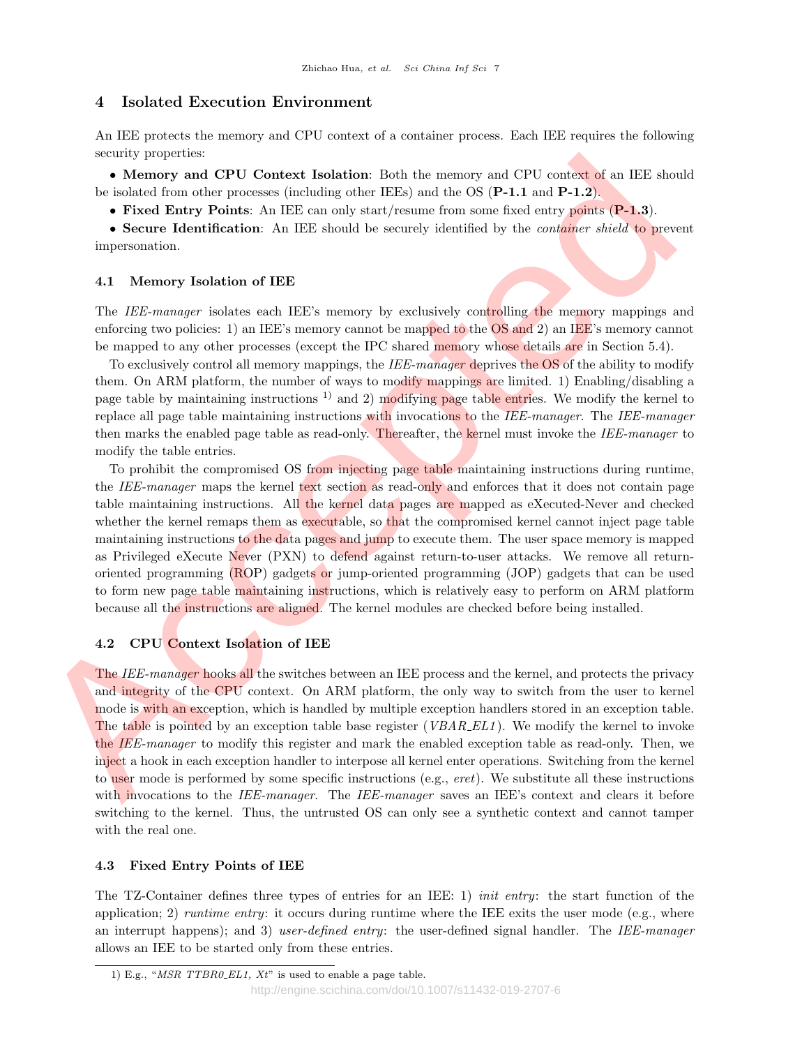## 4 Isolated Execution Environment

An IEE protects the memory and CPU context of a container process. Each IEE requires the following security properties:

• Memory and CPU Context Isolation: Both the memory and CPU context of an IEE should be isolated from other processes (including other IEEs) and the OS (P-1.1 and P-1.2).

• Fixed Entry Points: An IEE can only start/resume from some fixed entry points (P-1.3).

• Secure Identification: An IEE should be securely identified by the *container shield* to prevent impersonation.

## 4.1 Memory Isolation of IEE

The IEE-manager isolates each IEE's memory by exclusively controlling the memory mappings and enforcing two policies: 1) an IEE's memory cannot be mapped to the OS and 2) an IEE's memory cannot be mapped to any other processes (except the IPC shared memory whose details are in Section 5.4).

To exclusively control all memory mappings, the IEE-manager deprives the OS of the ability to modify them. On ARM platform, the number of ways to modify mappings are limited. 1) Enabling/disabling a page table by maintaining instructions  $\frac{1}{1}$  and 2) modifying page table entries. We modify the kernel to replace all page table maintaining instructions with invocations to the *IEE-manager*. The *IEE-manager* then marks the enabled page table as read-only. Thereafter, the kernel must invoke the IEE-manager to modify the table entries.

To prohibit the compromised OS from injecting page table maintaining instructions during runtime, the IEE-manager maps the kernel text section as read-only and enforces that it does not contain page table maintaining instructions. All the kernel data pages are mapped as eXecuted-Never and checked whether the kernel remaps them as executable, so that the compromised kernel cannot inject page table maintaining instructions to the data pages and jump to execute them. The user space memory is mapped as Privileged eXecute Never (PXN) to defend against return-to-user attacks. We remove all returnoriented programming (ROP) gadgets or jump-oriented programming (JOP) gadgets that can be used to form new page table maintaining instructions, which is relatively easy to perform on ARM platform because all the instructions are aligned. The kernel modules are checked before being installed. some yapperters.<br>
Accelerate and CPU Context Isolation: Beth the meanory and CPU context of an BES should<br>
be included be a measured place of the CPL-1 and P-1-2).<br>
<br>
• Fixed Entry Doints An IEE should be seen that also b

## 4.2 CPU Context Isolation of IEE

The IEE-manager hooks all the switches between an IEE process and the kernel, and protects the privacy and integrity of the CPU context. On ARM platform, the only way to switch from the user to kernel mode is with an exception, which is handled by multiple exception handlers stored in an exception table. The table is pointed by an exception table base register ( $VBAR\_EL1$ ). We modify the kernel to invoke the IEE-manager to modify this register and mark the enabled exception table as read-only. Then, we inject a hook in each exception handler to interpose all kernel enter operations. Switching from the kernel to user mode is performed by some specific instructions (e.g.,  $eret$ ). We substitute all these instructions with invocations to the IEE-manager. The IEE-manager saves an IEE's context and clears it before switching to the kernel. Thus, the untrusted OS can only see a synthetic context and cannot tamper with the real one.

## 4.3 Fixed Entry Points of IEE

The TZ-Container defines three types of entries for an IEE: 1) init entry: the start function of the application; 2) *runtime entry*: it occurs during runtime where the IEE exits the user mode (e.g., where an interrupt happens); and 3) user-defined entry: the user-defined signal handler. The IEE-manager allows an IEE to be started only from these entries.

<sup>1)</sup> E.g., " $MSR$  TTBR0\_EL1,  $Xt$ " is used to enable a page table.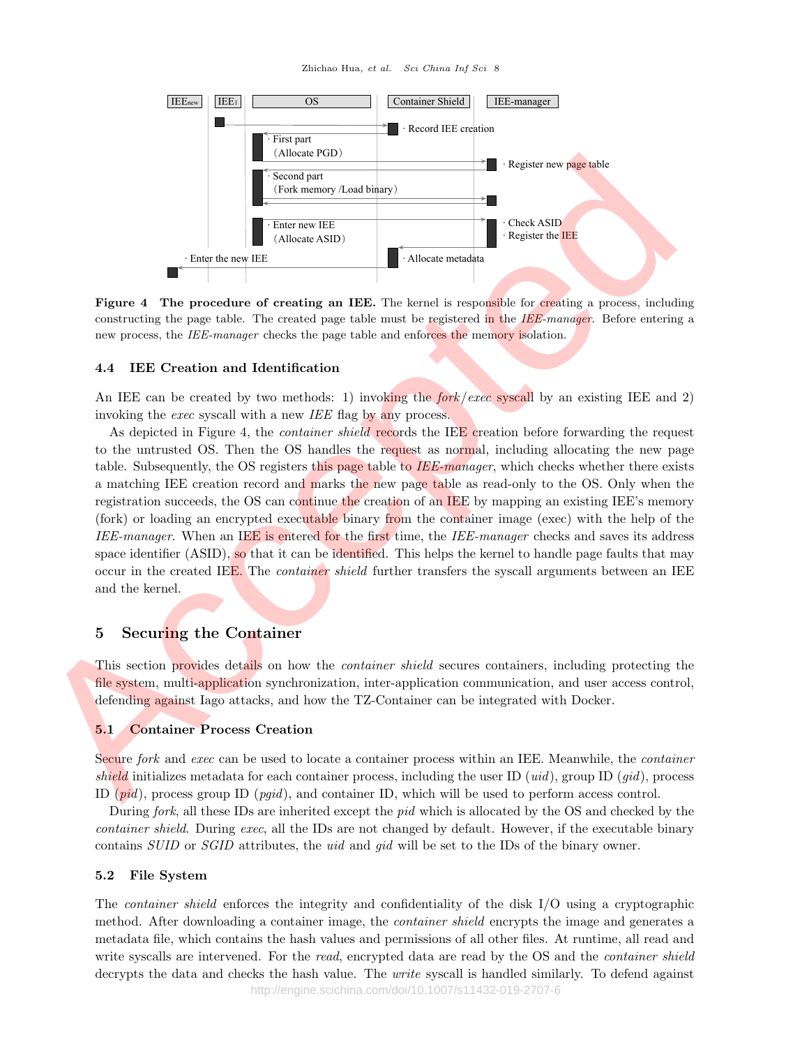Zhichao Hua, et al. Sci China Inf Sci 8



Figure 4 The procedure of creating an IEE. The kernel is responsible for creating a process, including constructing the page table. The created page table must be registered in the  $IEE-manager$ . Before entering a new process, the IEE-manager checks the page table and enforces the memory isolation.

## 4.4 IEE Creation and Identification

An IEE can be created by two methods: 1) invoking the *fork exec* syscall by an existing IEE and 2) invoking the *exec* syscall with a new *IEE* flag by any process.

As depicted in Figure 4, the *container shield* records the IEE creation before forwarding the request to the untrusted OS. Then the OS handles the request as normal, including allocating the new page table. Subsequently, the OS registers this page table to  $\overline{IEE\text{-}, which checks whether there exists$ a matching IEE creation record and marks the new page table as read-only to the OS. Only when the registration succeeds, the OS can continue the creation of an IEE by mapping an existing IEE's memory (fork) or loading an encrypted executable binary from the container image (exec) with the help of the IEE-manager. When an IEE is entered for the first time, the IEE-manager checks and saves its address space identifier (ASID), so that it can be identified. This helps the kernel to handle page faults that may occur in the created IEE. The *container shield* further transfers the syscall arguments between an IEE and the kernel. **Examples 1991**<br>
Acceleration of the state of the state of the state of the state of the state of the state of the state of the state of the state of the state of the state of the state of the state of the state of the st

## 5 Securing the Container

This section provides details on how the *container shield* secures containers, including protecting the file system, multi-application synchronization, inter-application communication, and user access control, defending against Iago attacks, and how the TZ-Container can be integrated with Docker.

## 5.1 Container Process Creation

Secure fork and exec can be used to locate a container process within an IEE. Meanwhile, the *container* shield initializes metadata for each container process, including the user ID (uid), group ID (gid), process ID  $(pid)$ , process group ID  $(pgid)$ , and container ID, which will be used to perform access control.

During fork, all these IDs are inherited except the pid which is allocated by the OS and checked by the container shield. During exec, all the IDs are not changed by default. However, if the executable binary contains SUID or SGID attributes, the uid and gid will be set to the IDs of the binary owner.

## 5.2 File System

The container shield enforces the integrity and confidentiality of the disk I/O using a cryptographic method. After downloading a container image, the *container shield* encrypts the image and generates a metadata file, which contains the hash values and permissions of all other files. At runtime, all read and write syscalls are intervened. For the read, encrypted data are read by the OS and the *container shield* decrypts the data and checks the hash value. The *write* syscall is handled similarly. To defend against http://engine.scichina.com/doi/10.1007/s11432-019-2707-6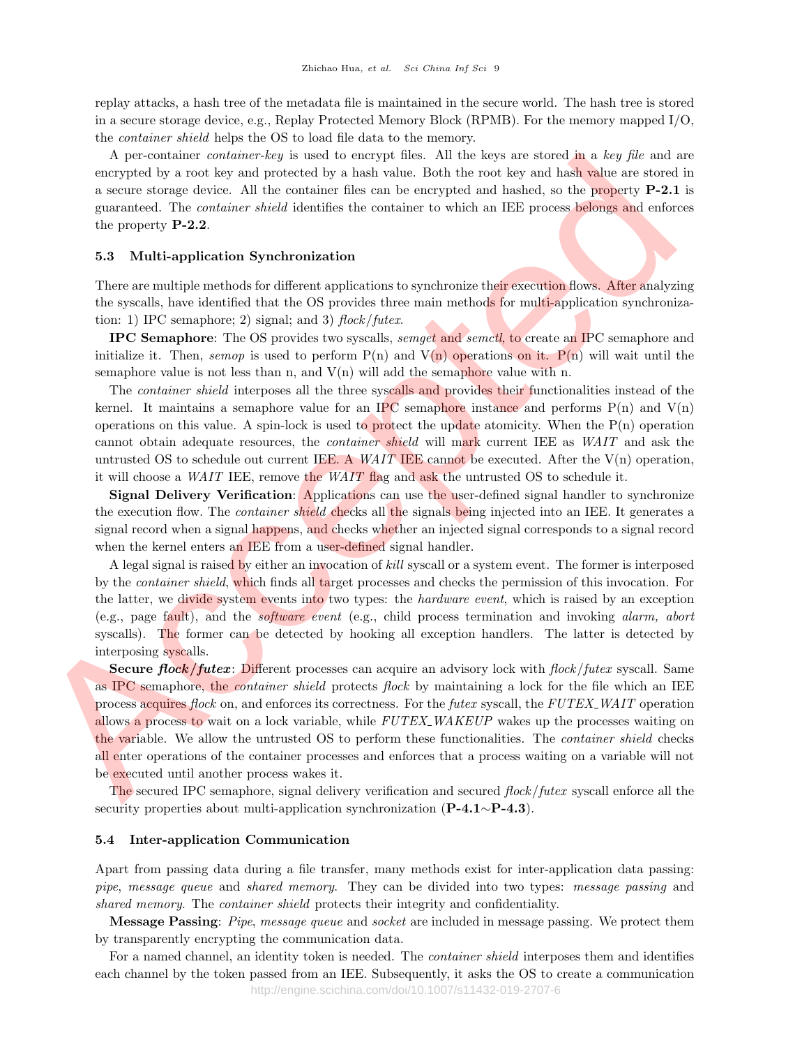replay attacks, a hash tree of the metadata file is maintained in the secure world. The hash tree is stored in a secure storage device, e.g., Replay Protected Memory Block (RPMB). For the memory mapped I/O, the container shield helps the OS to load file data to the memory.

A per-container container-key is used to encrypt files. All the keys are stored in a key file and are encrypted by a root key and protected by a hash value. Both the root key and hash value are stored in a secure storage device. All the container files can be encrypted and hashed, so the property P-2.1 is guaranteed. The container shield identifies the container to which an IEE process belongs and enforces the property P-2.2.

#### 5.3 Multi-application Synchronization

There are multiple methods for different applications to synchronize their execution flows. After analyzing the syscalls, have identified that the OS provides three main methods for multi-application synchronization: 1) IPC semaphore; 2) signal; and 3)  $flock/futer.$ 

IPC Semaphore: The OS provides two syscalls, semget and semctl, to create an IPC semaphore and initialize it. Then, semop is used to perform  $P(n)$  and  $V(n)$  operations on it.  $P(n)$  will wait until the semaphore value is not less than n, and  $V(n)$  will add the semaphore value with n.

The container shield interposes all the three syscalls and provides their functionalities instead of the kernel. It maintains a semaphore value for an IPC semaphore instance and performs  $P(n)$  and  $V(n)$ operations on this value. A spin-lock is used to protect the update atomicity. When the  $P(n)$  operation cannot obtain adequate resources, the *container shield* will mark current IEE as WAIT and ask the untrusted OS to schedule out current IEE. A WAIT IEE cannot be executed. After the  $V(n)$  operation, it will choose a WAIT IEE, remove the WAIT flag and ask the untrusted OS to schedule it.

Signal Delivery Verification: Applications can use the user-defined signal handler to synchronize the execution flow. The *container shield* checks all the signals being injected into an IEE. It generates a signal record when a signal happens, and checks whether an injected signal corresponds to a signal record when the kernel enters an IEE from a user-defined signal handler.

A legal signal is raised by either an invocation of kill syscall or a system event. The former is interposed by the *container shield*, which finds all target processes and checks the permission of this invocation. For the latter, we divide system events into two types: the *hardware event*, which is raised by an exception (e.g., page fault), and the software event (e.g., child process termination and invoking alarm, abort syscalls). The former can be detected by hooking all exception handlers. The latter is detected by interposing syscalls.

Secure flock/futex: Different processes can acquire an advisory lock with flock/futex syscall. Same as IPC semaphore, the *container shield* protects *flock* by maintaining a lock for the file which an IEE process acquires flock on, and enforces its correctness. For the futex syscall, the FUTEX\_WAIT operation allows a process to wait on a lock variable, while FUTEX WAKEUP wakes up the processes waiting on the variable. We allow the untrusted OS to perform these functionalities. The container shield checks all enter operations of the container processes and enforces that a process waiting on a variable will not be executed until another process wakes it. A part-outsider contendent-by is used to uneargy first. All the keys and stored in a two ple and are plead and are plead and are plead and are plead and are plead and are plead and are plead and are a second in particular

The secured IPC semaphore, signal delivery verification and secured flock/futex syscall enforce all the security properties about multi-application synchronization (P-4.1∼P-4.3).

#### 5.4 Inter-application Communication

Apart from passing data during a file transfer, many methods exist for inter-application data passing: pipe, message queue and shared memory. They can be divided into two types: message passing and shared memory. The *container shield* protects their integrity and confidentiality.

Message Passing: Pipe, message queue and socket are included in message passing. We protect them by transparently encrypting the communication data.

For a named channel, an identity token is needed. The *container shield* interposes them and identifies each channel by the token passed from an IEE. Subsequently, it asks the OS to create a communication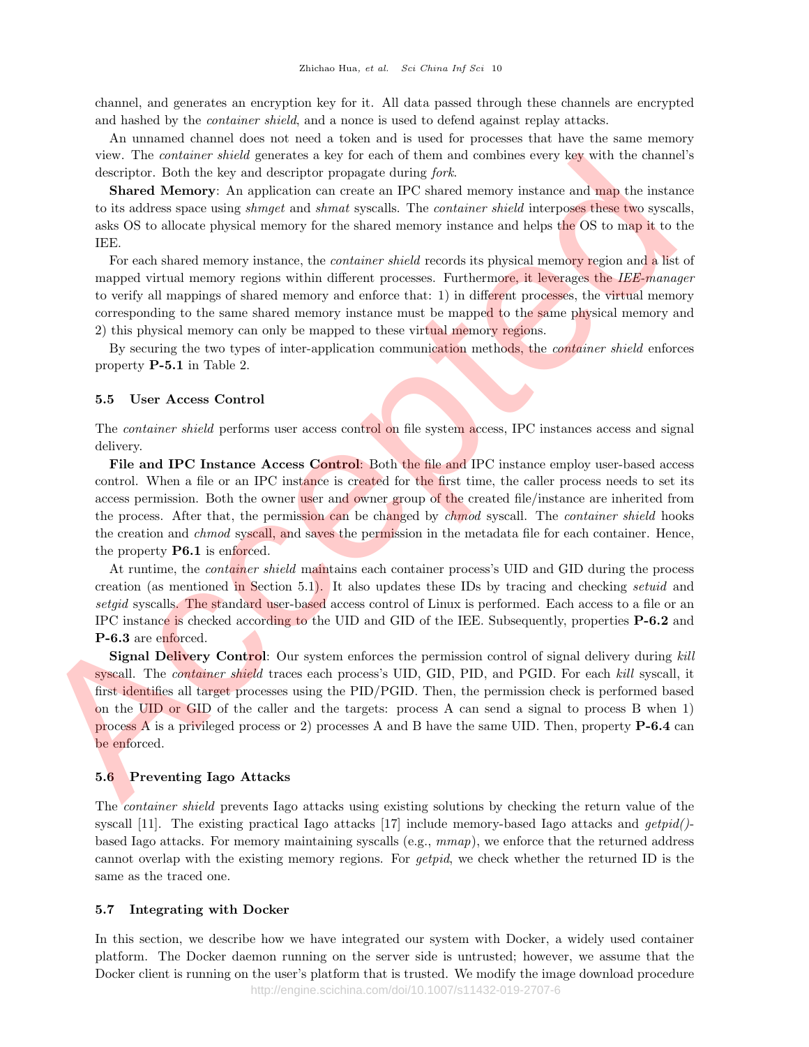channel, and generates an encryption key for it. All data passed through these channels are encrypted and hashed by the *container shield*, and a nonce is used to defend against replay attacks.

An unnamed channel does not need a token and is used for processes that have the same memory view. The container shield generates a key for each of them and combines every key with the channel's descriptor. Both the key and descriptor propagate during fork.

**Shared Memory:** An application can create an IPC shared memory instance and map the instance to its address space using *shmget* and *shmat* syscalls. The *container shield* interposes these two syscalls, asks OS to allocate physical memory for the shared memory instance and helps the OS to map it to the IEE.

For each shared memory instance, the *container shield* records its physical memory region and a list of mapped virtual memory regions within different processes. Furthermore, it leverages the IEE-manager to verify all mappings of shared memory and enforce that: 1) in different processes, the virtual memory corresponding to the same shared memory instance must be mapped to the same physical memory and 2) this physical memory can only be mapped to these virtual memory regions.

By securing the two types of inter-application communication methods, the *container shield* enforces property P-5.1 in Table 2.

## 5.5 User Access Control

The *container shield* performs user access control on file system access, IPC instances access and signal delivery.

File and IPC Instance Access Control: Both the file and IPC instance employ user-based access control. When a file or an IPC instance is created for the first time, the caller process needs to set its access permission. Both the owner user and owner group of the created file/instance are inherited from the process. After that, the permission can be changed by *chmod* syscall. The *container shield* hooks the creation and *chmod* syscall, and saves the permission in the metadata file for each container. Hence, the property **P6.1** is enforced. Fine and<br>scripts. Doth the lay and descript a lay for each of them and earthing contact<br>description: Doth the lay and description propagate during fork.<br>Since the signal and the lay and description propagate during fork.<br>

At runtime, the *container shield* maintains each container process's UID and GID during the process creation (as mentioned in Section 5.1). It also updates these IDs by tracing and checking setuid and setgid syscalls. The standard user-based access control of Linux is performed. Each access to a file or an IPC instance is checked according to the UID and GID of the IEE. Subsequently, properties P-6.2 and P-6.3 are enforced.

**Signal Delivery Control:** Our system enforces the permission control of signal delivery during kill syscall. The *container shield* traces each process's UID, GID, PID, and PGID. For each kill syscall, it first identifies all target processes using the PID/PGID. Then, the permission check is performed based on the UID or GID of the caller and the targets: process A can send a signal to process B when 1) process A is a privileged process or 2) processes A and B have the same UID. Then, property P-6.4 can be enforced.

## 5.6 Preventing Iago Attacks

The container shield prevents Iago attacks using existing solutions by checking the return value of the syscall [11]. The existing practical Iago attacks [17] include memory-based Iago attacks and  $qetpid()$ based Iago attacks. For memory maintaining syscalls (e.g.,  $mmap$ ), we enforce that the returned address cannot overlap with the existing memory regions. For getpid, we check whether the returned ID is the same as the traced one.

#### 5.7 Integrating with Docker

In this section, we describe how we have integrated our system with Docker, a widely used container platform. The Docker daemon running on the server side is untrusted; however, we assume that the Docker client is running on the user's platform that is trusted. We modify the image download procedure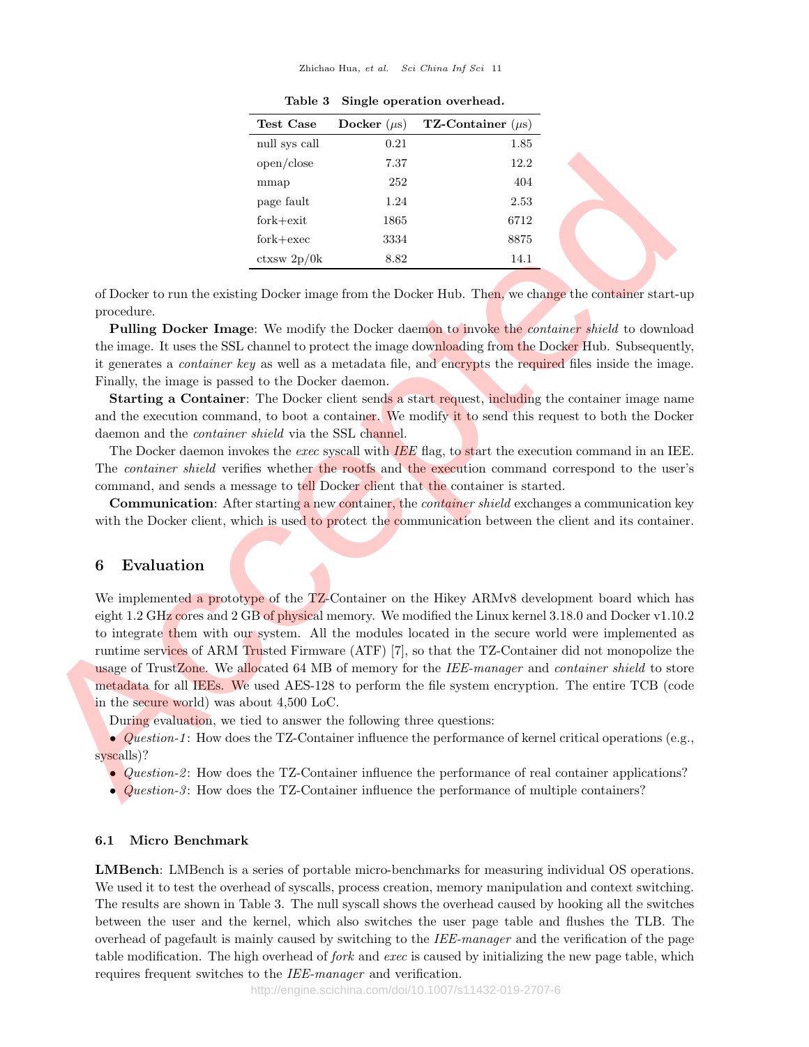#### Zhichao Hua, et al. Sci China Inf Sci 11

| Test Case     | Docker $(\mu s)$ | <b>TZ-Container</b> $(\mu s)$ |
|---------------|------------------|-------------------------------|
| null sys call | 0.21             | 1.85                          |
| open/close    | 7.37             | 12.2                          |
| mmap          | 252              | 404                           |
| page fault    | 1.24             | 2.53                          |
| $fork + exit$ | 1865             | 6712                          |
| $fork+exec$   | 3334             | 8875                          |
| ctxsw 2p/0k   | 8.82             | 14.1                          |

Table 3 Single operation overhead.

of Docker to run the existing Docker image from the Docker Hub. Then, we change the container start-up procedure.

Pulling Docker Image: We modify the Docker daemon to invoke the *container shield* to download the image. It uses the SSL channel to protect the image downloading from the Docker Hub. Subsequently, it generates a *container key* as well as a metadata file, and encrypts the required files inside the image. Finally, the image is passed to the Docker daemon.

Starting a Container: The Docker client sends a start request, including the container image name and the execution command, to boot a container. We modify it to send this request to both the Docker daemon and the container shield via the SSL channel.

The Docker daemon invokes the exec syscall with IEE flag, to start the execution command in an IEE. The container shield verifies whether the rootfs and the execution command correspond to the user's command, and sends a message to tell Docker client that the container is started.

Communication: After starting a new container, the *container shield* exchanges a communication key with the Docker client, which is used to protect the communication between the client and its container.

## 6 Evaluation

We implemented a prototype of the TZ-Container on the Hikey ARMv8 development board which has eight 1.2 GHz cores and 2 GB of physical memory. We modified the Linux kernel 3.18.0 and Docker v1.10.2 to integrate them with our system. All the modules located in the secure world were implemented as runtime services of ARM Trusted Firmware (ATF) [7], so that the TZ-Container did not monopolize the usage of TrustZone. We allocated 64 MB of memory for the IEE-manager and container shield to store metadata for all IEEs. We used AES-128 to perform the file system encryption. The entire TCB (code in the secure world) was about 4,500 LoC. Accepted

During evaluation, we tied to answer the following three questions:

• Question-1: How does the TZ-Container influence the performance of kernel critical operations (e.g., syscalls)?

- Question-2: How does the TZ-Container influence the performance of real container applications?
- Question-3: How does the TZ-Container influence the performance of multiple containers?

#### 6.1 Micro Benchmark

LMBench: LMBench is a series of portable micro-benchmarks for measuring individual OS operations. We used it to test the overhead of syscalls, process creation, memory manipulation and context switching. The results are shown in Table 3. The null syscall shows the overhead caused by hooking all the switches between the user and the kernel, which also switches the user page table and flushes the TLB. The overhead of pagefault is mainly caused by switching to the IEE-manager and the verification of the page table modification. The high overhead of *fork* and *exec* is caused by initializing the new page table, which requires frequent switches to the IEE-manager and verification.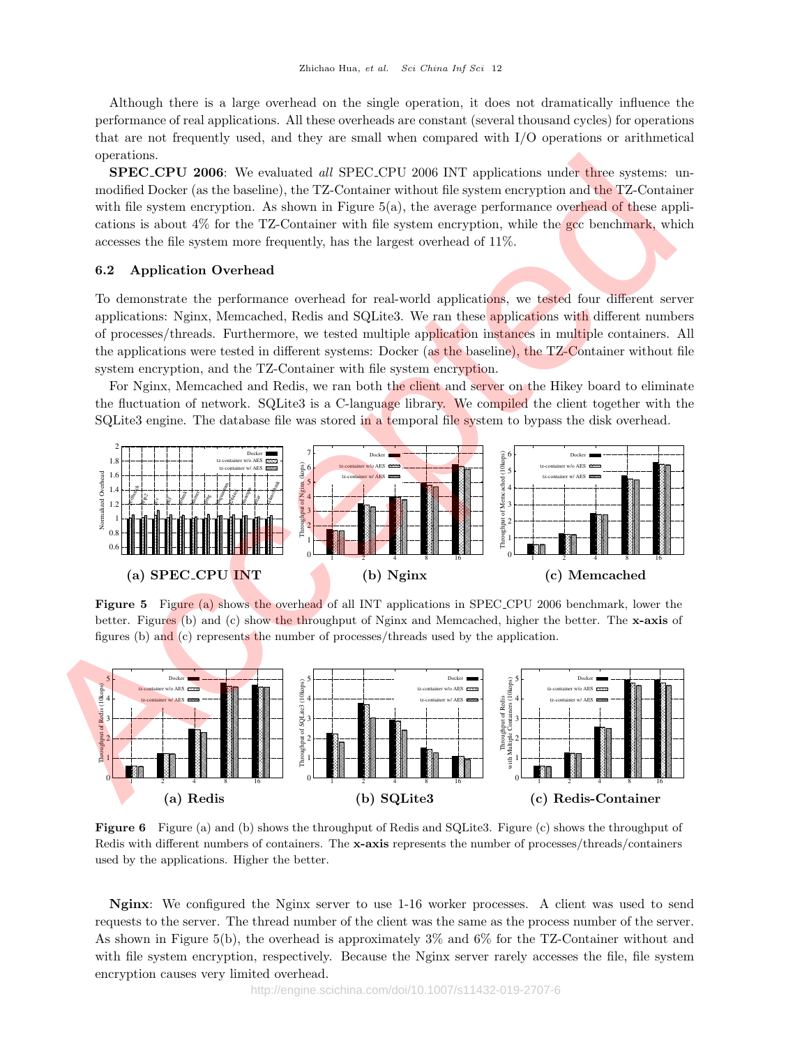Although there is a large overhead on the single operation, it does not dramatically influence the performance of real applications. All these overheads are constant (several thousand cycles) for operations that are not frequently used, and they are small when compared with I/O operations or arithmetical operations.

SPEC\_CPU 2006: We evaluated all SPEC\_CPU 2006 INT applications under three systems: unmodified Docker (as the baseline), the TZ-Container without file system encryption and the TZ-Container with file system encryption. As shown in Figure  $5(a)$ , the average performance overhead of these applications is about 4% for the TZ-Container with file system encryption, while the gcc benchmark, which accesses the file system more frequently, has the largest overhead of 11%.

## 6.2 Application Overhead

To demonstrate the performance overhead for real-world applications, we tested four different server applications: Nginx, Memcached, Redis and SQLite3. We ran these applications with different numbers of processes/threads. Furthermore, we tested multiple application instances in multiple containers. All the applications were tested in different systems: Docker (as the baseline), the TZ-Container without file system encryption, and the TZ-Container with file system encryption.

For Nginx, Memcached and Redis, we ran both the client and server on the Hikey board to eliminate the fluctuation of network. SQLite3 is a C-language library. We compiled the client together with the SQLite3 engine. The database file was stored in a temporal file system to bypass the disk overhead.



Figure 5 Figure (a) shows the overhead of all INT applications in SPEC CPU 2006 benchmark, lower the better. Figures (b) and (c) show the throughput of Nginx and Memcached, higher the better. The x-axis of figures (b) and (c) represents the number of processes/threads used by the application.



Figure 6 Figure (a) and (b) shows the throughput of Redis and SQLite3. Figure (c) shows the throughput of Redis with different numbers of containers. The x-axis represents the number of processes/threads/containers used by the applications. Higher the better.

Nginx: We configured the Nginx server to use 1-16 worker processes. A client was used to send requests to the server. The thread number of the client was the same as the process number of the server. As shown in Figure 5(b), the overhead is approximately 3% and 6% for the TZ-Container without and with file system encryption, respectively. Because the Nginx server rarely accesses the file, file system encryption causes very limited overhead.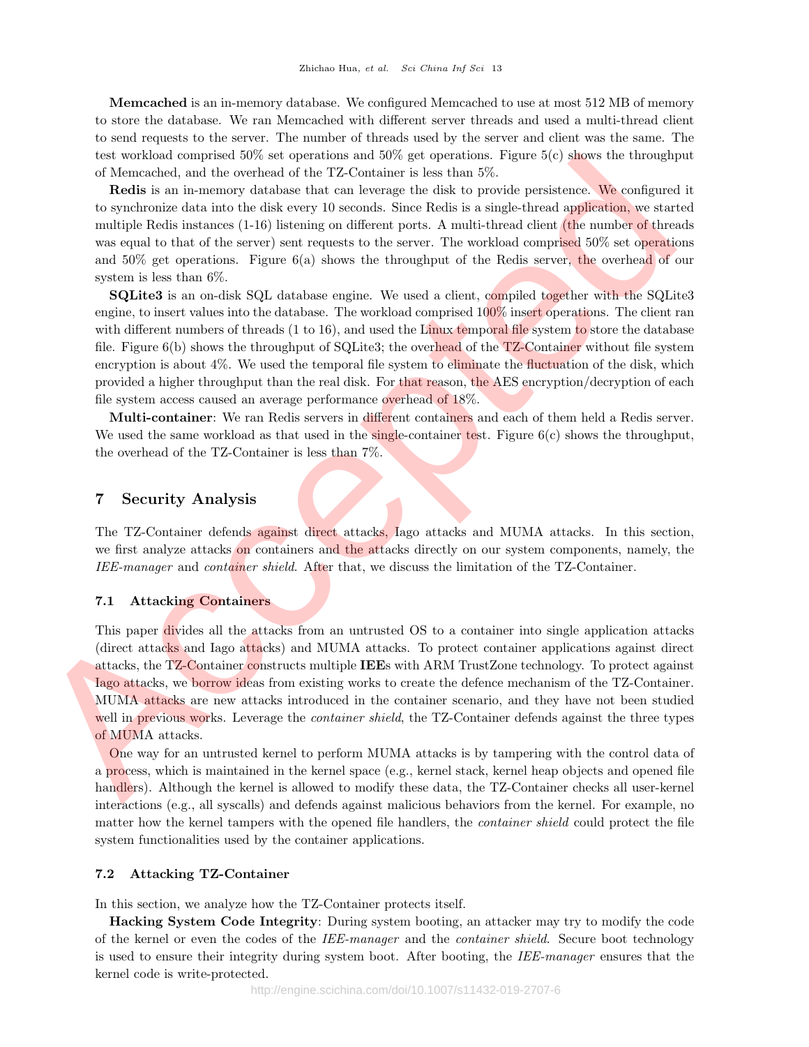Memcached is an in-memory database. We configured Memcached to use at most 512 MB of memory to store the database. We ran Memcached with different server threads and used a multi-thread client to send requests to the server. The number of threads used by the server and client was the same. The test workload comprised  $50\%$  set operations and  $50\%$  get operations. Figure  $5(c)$  shows the throughput of Memcached, and the overhead of the TZ-Container is less than 5%.

Redis is an in-memory database that can leverage the disk to provide persistence. We configured it to synchronize data into the disk every 10 seconds. Since Redis is a single-thread application, we started multiple Redis instances (1-16) listening on different ports. A multi-thread client (the number of threads was equal to that of the server) sent requests to the server. The workload comprised 50% set operations and 50% get operations. Figure 6(a) shows the throughput of the Redis server, the overhead of our system is less than 6%.

SQLite3 is an on-disk SQL database engine. We used a client, compiled together with the SQLite3 engine, to insert values into the database. The workload comprised 100% insert operations. The client ran with different numbers of threads  $(1 \text{ to } 16)$ , and used the Linux temporal file system to store the database file. Figure  $6(b)$  shows the throughput of SQLite3; the overhead of the TZ-Container without file system encryption is about 4%. We used the temporal file system to eliminate the fluctuation of the disk, which provided a higher throughput than the real disk. For that reason, the AES encryption/decryption of each file system access caused an average performance overhead of 18%. is the working compositable set operations and this get operations. Figure 3(b) shows the throughput it the maximum is because that the maximum is considered. We now the maximum is considered in the maximum is the maximum

Multi-container: We ran Redis servers in different containers and each of them held a Redis server. We used the same workload as that used in the single-container test. Figure  $6(c)$  shows the throughput, the overhead of the TZ-Container is less than 7%.

## 7 Security Analysis

The TZ-Container defends against direct attacks, Iago attacks and MUMA attacks. In this section, we first analyze attacks on containers and the attacks directly on our system components, namely, the IEE-manager and container shield. After that, we discuss the limitation of the TZ-Container.

## 7.1 Attacking Containers

This paper divides all the attacks from an untrusted OS to a container into single application attacks (direct attacks and Iago attacks) and MUMA attacks. To protect container applications against direct attacks, the TZ-Container constructs multiple IEEs with ARM TrustZone technology. To protect against Iago attacks, we borrow ideas from existing works to create the defence mechanism of the TZ-Container. MUMA attacks are new attacks introduced in the container scenario, and they have not been studied well in previous works. Leverage the *container shield*, the TZ-Container defends against the three types of MUMA attacks.

One way for an untrusted kernel to perform MUMA attacks is by tampering with the control data of a process, which is maintained in the kernel space (e.g., kernel stack, kernel heap objects and opened file handlers). Although the kernel is allowed to modify these data, the TZ-Container checks all user-kernel interactions (e.g., all syscalls) and defends against malicious behaviors from the kernel. For example, no matter how the kernel tampers with the opened file handlers, the container shield could protect the file system functionalities used by the container applications.

## 7.2 Attacking TZ-Container

In this section, we analyze how the TZ-Container protects itself.

Hacking System Code Integrity: During system booting, an attacker may try to modify the code of the kernel or even the codes of the IEE-manager and the *container shield*. Secure boot technology is used to ensure their integrity during system boot. After booting, the IEE-manager ensures that the kernel code is write-protected.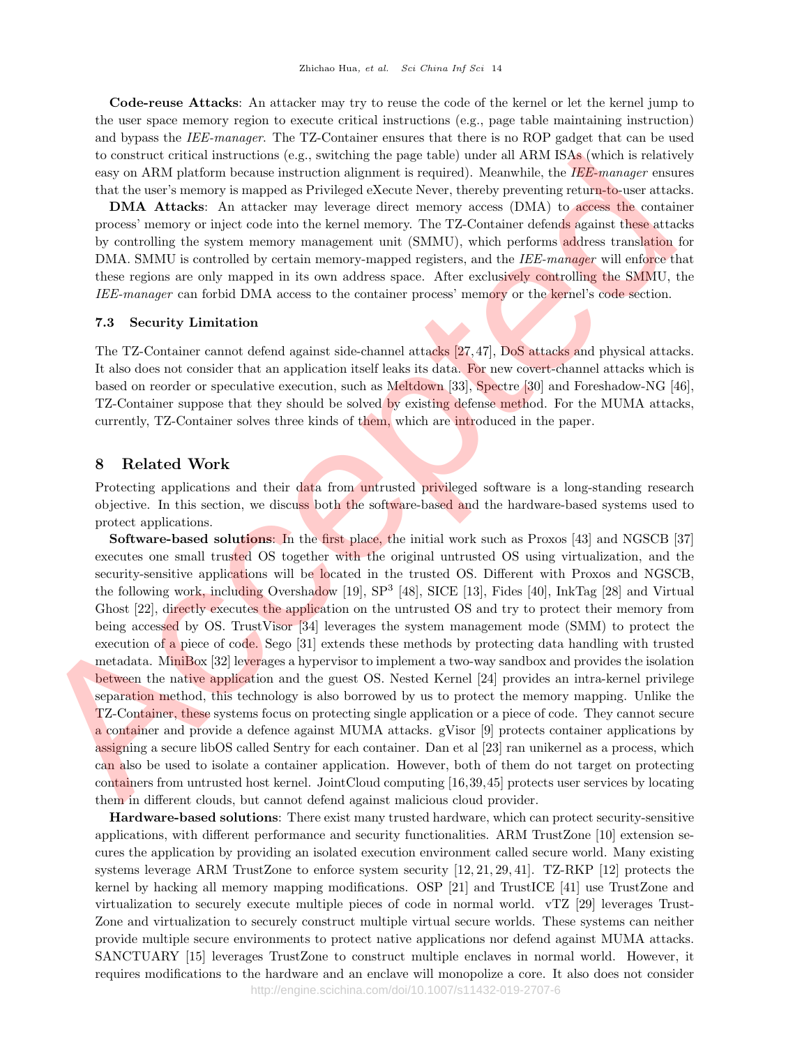Code-reuse Attacks: An attacker may try to reuse the code of the kernel or let the kernel jump to the user space memory region to execute critical instructions (e.g., page table maintaining instruction) and bypass the IEE-manager. The TZ-Container ensures that there is no ROP gadget that can be used to construct critical instructions (e.g., switching the page table) under all ARM ISAs (which is relatively easy on ARM platform because instruction alignment is required). Meanwhile, the IEE-manager ensures that the user's memory is mapped as Privileged eXecute Never, thereby preventing return-to-user attacks.

DMA Attacks: An attacker may leverage direct memory access (DMA) to access the container process' memory or inject code into the kernel memory. The TZ-Container defends against these attacks by controlling the system memory management unit (SMMU), which performs address translation for DMA. SMMU is controlled by certain memory-mapped registers, and the *IEE-manager* will enforce that these regions are only mapped in its own address space. After exclusively controlling the SMMU, the IEE-manager can forbid DMA access to the container process' memory or the kernel's code section.

#### 7.3 Security Limitation

The TZ-Container cannot defend against side-channel attacks [27,47], DoS attacks and physical attacks. It also does not consider that an application itself leaks its data. For new covert-channel attacks which is based on reorder or speculative execution, such as Meltdown [33], Spectre [30] and Foreshadow-NG [46], TZ-Container suppose that they should be solved by existing defense method. For the MUMA attacks, currently, TZ-Container solves three kinds of them, which are introduced in the paper.

## 8 Related Work

Protecting applications and their data from untrusted privileged software is a long-standing research objective. In this section, we discuss both the software-based and the hardware-based systems used to protect applications.

Software-based solutions: In the first place, the initial work such as Proxos [43] and NGSCB [37] executes one small trusted OS together with the original untrusted OS using virtualization, and the security-sensitive applications will be located in the trusted OS. Different with Proxos and NGSCB, the following work, including Overshadow [19], SP<sup>3</sup> [48], SICE [13], Fides [40], InkTag [28] and Virtual Ghost [22], directly executes the application on the untrusted OS and try to protect their memory from being accessed by OS. TrustVisor [34] leverages the system management mode (SMM) to protect the execution of a piece of code. Sego [31] extends these methods by protecting data handling with trusted metadata. MiniBox [32] leverages a hypervisor to implement a two-way sandbox and provides the isolation between the native application and the guest OS. Nested Kernel [24] provides an intra-kernel privilege separation method, this technology is also borrowed by us to protect the memory mapping. Unlike the TZ-Container, these systems focus on protecting single application or a piece of code. They cannot secure a container and provide a defence against MUMA attacks. gVisor [9] protects container applications by assigning a secure libOS called Sentry for each container. Dan et al [23] ran unikernel as a process, which can also be used to isolate a container application. However, both of them do not target on protecting containers from untrusted host kernel. JointCloud computing [16,39,45] protects user services by locating them in different clouds, but cannot defend against malicious cloud provider. to control extrained interded in extreme the payer debit mode is a controlled to the New York MMM behavior interests that the basis control interest in the state of the state of the state of the State of the David Control

Hardware-based solutions: There exist many trusted hardware, which can protect security-sensitive applications, with different performance and security functionalities. ARM TrustZone [10] extension secures the application by providing an isolated execution environment called secure world. Many existing systems leverage ARM TrustZone to enforce system security [12, 21, 29, 41]. TZ-RKP [12] protects the kernel by hacking all memory mapping modifications. OSP [21] and TrustICE [41] use TrustZone and virtualization to securely execute multiple pieces of code in normal world. vTZ [29] leverages Trust-Zone and virtualization to securely construct multiple virtual secure worlds. These systems can neither provide multiple secure environments to protect native applications nor defend against MUMA attacks. SANCTUARY [15] leverages TrustZone to construct multiple enclaves in normal world. However, it requires modifications to the hardware and an enclave will monopolize a core. It also does not consider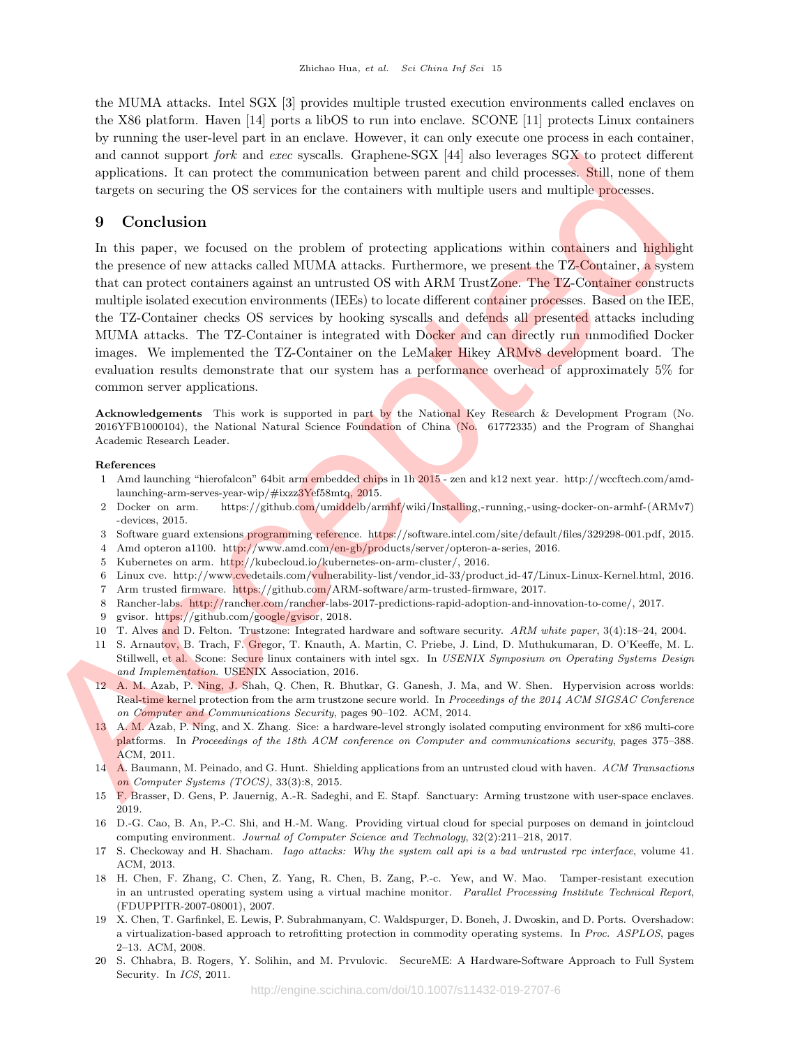the MUMA attacks. Intel SGX [3] provides multiple trusted execution environments called enclaves on the X86 platform. Haven [14] ports a libOS to run into enclave. SCONE [11] protects Linux containers by running the user-level part in an enclave. However, it can only execute one process in each container, and cannot support fork and exec syscalls. Graphene-SGX [44] also leverages SGX to protect different applications. It can protect the communication between parent and child processes. Still, none of them targets on securing the OS services for the containers with multiple users and multiple processes.

## 9 Conclusion

In this paper, we focused on the problem of protecting applications within containers and highlight the presence of new attacks called MUMA attacks. Furthermore, we present the TZ-Container, a system that can protect containers against an untrusted OS with ARM TrustZone. The TZ-Container constructs multiple isolated execution environments (IEEs) to locate different container processes. Based on the IEE, the TZ-Container checks OS services by hooking syscalls and defends all presented attacks including MUMA attacks. The TZ-Container is integrated with Docker and can directly run unmodified Docker images. We implemented the TZ-Container on the LeMaker Hikey ARMv8 development board. The evaluation results demonstrate that our system has a performance overhead of approximately 5% for common server applications. and cannot support jors and are systemic Graphene-SKA 144 pair between static different constraints and proportion between the constraints and the proportion set of the mean of the static different constraints and includi

Acknowledgements This work is supported in part by the National Key Research & Development Program (No. 2016YFB1000104), the National Natural Science Foundation of China (No. 61772335) and the Program of Shanghai Academic Research Leader.

#### References

- 1 Amd launching "hierofalcon" 64bit arm embedded chips in 1h 2015 zen and k12 next year. http://wccftech.com/amdlaunching-arm-serves-year-wip/#ixzz3Yef58mtq, 2015.
- 2 Docker on arm. https://github.com/umiddelb/armhf/wiki/Installing,-running,-using-docker-on-armhf-(ARMv7) -devices, 2015.
- 3 Software guard extensions programming reference. https://software.intel.com/site/default/files/329298-001.pdf, 2015.
- 4 Amd opteron a1100. http://www.amd.com/en-gb/products/server/opteron-a-series, 2016.
- 5 Kubernetes on arm. http://kubecloud.io/kubernetes-on-arm-cluster/, 2016.
- 6 Linux cve. http://www.cvedetails.com/vulnerability-list/vendor id-33/product id-47/Linux-Linux-Kernel.html, 2016.
- 7 Arm trusted firmware. https://github.com/ARM-software/arm-trusted-firmware, 2017.
- 8 Rancher-labs. http://rancher.com/rancher-labs-2017-predictions-rapid-adoption-and-innovation-to-come/, 2017.
- 9 gvisor. https://github.com/google/gvisor, 2018.
- 10 T. Alves and D. Felton. Trustzone: Integrated hardware and software security. ARM white paper, 3(4):18–24, 2004.
- 11 S. Arnautov, B. Trach, F. Gregor, T. Knauth, A. Martin, C. Priebe, J. Lind, D. Muthukumaran, D. O'Keeffe, M. L. Stillwell, et al. Scone: Secure linux containers with intel sgx. In USENIX Symposium on Operating Systems Design and Implementation. USENIX Association, 2016.
- 12 A. M. Azab, P. Ning, J. Shah, Q. Chen, R. Bhutkar, G. Ganesh, J. Ma, and W. Shen. Hypervision across worlds: Real-time kernel protection from the arm trustzone secure world. In Proceedings of the 2014 ACM SIGSAC Conference on Computer and Communications Security, pages 90–102. ACM, 2014.
- 13 A. M. Azab, P. Ning, and X. Zhang. Sice: a hardware-level strongly isolated computing environment for x86 multi-core platforms. In Proceedings of the 18th ACM conference on Computer and communications security, pages 375–388. ACM, 2011.
- 14 A. Baumann, M. Peinado, and G. Hunt. Shielding applications from an untrusted cloud with haven. ACM Transactions on Computer Systems (TOCS), 33(3):8, 2015.
- 15 F. Brasser, D. Gens, P. Jauernig, A.-R. Sadeghi, and E. Stapf. Sanctuary: Arming trustzone with user-space enclaves. 2019.
- 16 D.-G. Cao, B. An, P.-C. Shi, and H.-M. Wang. Providing virtual cloud for special purposes on demand in jointcloud computing environment. Journal of Computer Science and Technology, 32(2):211–218, 2017.
- 17 S. Checkoway and H. Shacham. Iago attacks: Why the system call api is a bad untrusted rpc interface, volume 41. ACM, 2013.
- 18 H. Chen, F. Zhang, C. Chen, Z. Yang, R. Chen, B. Zang, P.-c. Yew, and W. Mao. Tamper-resistant execution in an untrusted operating system using a virtual machine monitor. Parallel Processing Institute Technical Report, (FDUPPITR-2007-08001), 2007.
- 19 X. Chen, T. Garfinkel, E. Lewis, P. Subrahmanyam, C. Waldspurger, D. Boneh, J. Dwoskin, and D. Ports. Overshadow: a virtualization-based approach to retrofitting protection in commodity operating systems. In Proc. ASPLOS, pages 2–13. ACM, 2008.
- 20 S. Chhabra, B. Rogers, Y. Solihin, and M. Prvulovic. SecureME: A Hardware-Software Approach to Full System Security. In ICS, 2011.